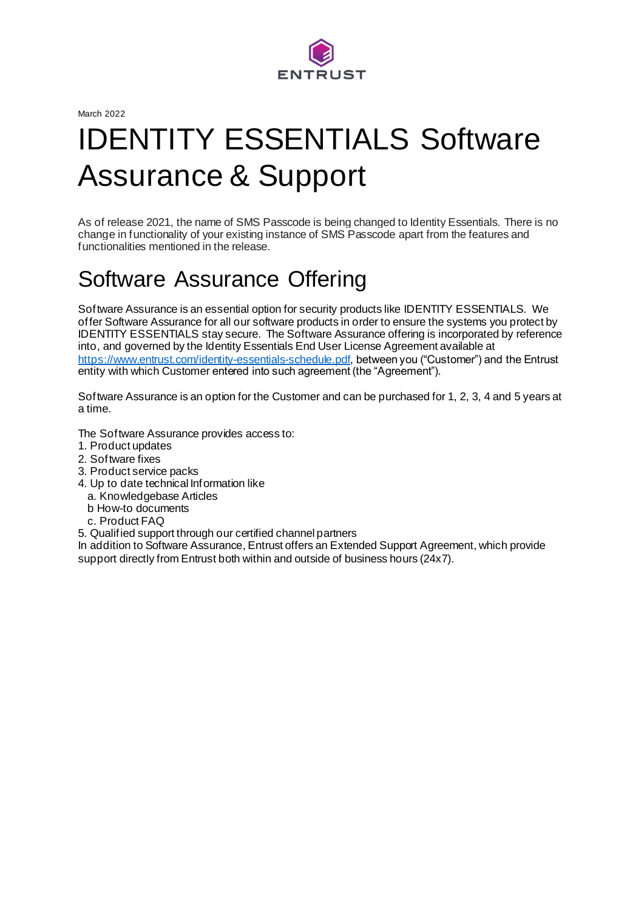

March 2022

# IDENTITY ESSENTIALS Software Assurance & Support

As of release 2021, the name of SMS Passcode is being changed to Identity Essentials. There is no change in functionality of your existing instance of SMS Passcode apart from the features and functionalities mentioned in the release.

### Software Assurance Offering

Software Assurance is an essential option for security products like IDENTITY ESSENTIALS. We offer Software Assurance for all our software products in order to ensure the systems you protect by IDENTITY ESSENTIALS stay secure. The Software Assurance offering is incorporated by reference into, and governed by the Identity Essentials End User License Agreement available at <https://www.entrust.com/identity-essentials-schedule.pdf>, between you ("Customer") and the Entrust entity with which Customer entered into such agreement (the "Agreement").

Software Assurance is an option for the Customer and can be purchased for 1, 2, 3, 4 and 5 years at a time.

The Software Assurance provides access to:

- 1. Product updates
- 2. Software fixes
- 3. Product service packs
- 4. Up to date technical Information like
	- a. Knowledgebase Articles
	- b How-to documents
	- c. Product FAQ
- 5. Qualified support through our certified channel partners

In addition to Software Assurance, Entrust offers an Extended Support Agreement, which provide support directly from Entrust both within and outside of business hours (24x7).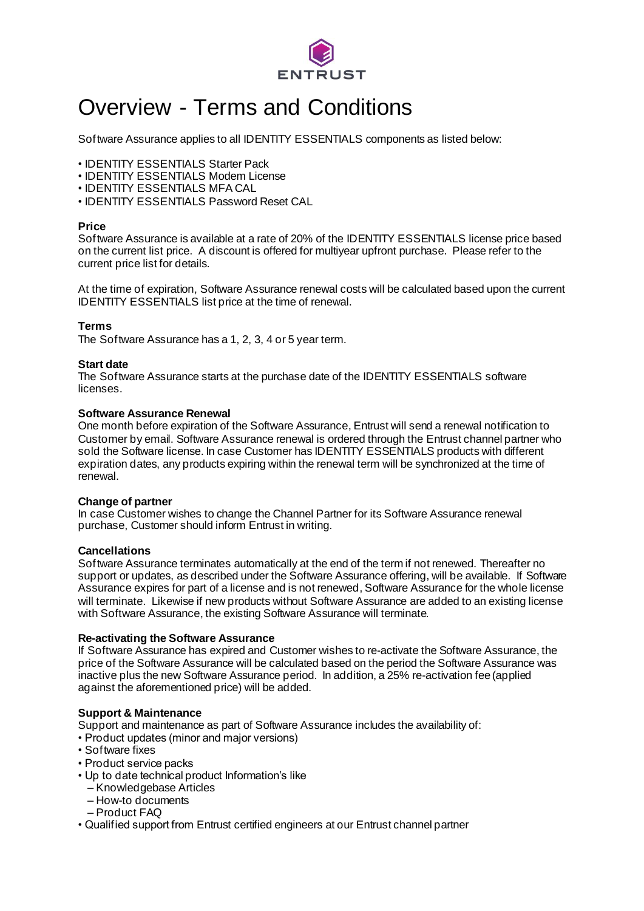

### Overview - Terms and Conditions

Software Assurance applies to all IDENTITY ESSENTIALS components as listed below:

- IDENTITY ESSENTIALS Starter Pack
- IDENTITY ESSENTIALS Modem License
- IDENTITY ESSENTIALS MFA CAL
- IDENTITY ESSENTIALS Password Reset CAL

#### **Price**

Software Assurance is available at a rate of 20% of the IDENTITY ESSENTIALS license price based on the current list price. A discount is offered for multiyear upfront purchase. Please refer to the current price list for details.

At the time of expiration, Software Assurance renewal costs will be calculated based upon the current IDENTITY ESSENTIALS list price at the time of renewal.

#### **Terms**

The Software Assurance has a 1, 2, 3, 4 or 5 year term.

#### **Start date**

The Software Assurance starts at the purchase date of the IDENTITY ESSENTIALS software licenses.

#### **Software Assurance Renewal**

One month before expiration of the Software Assurance, Entrust will send a renewal notification to Customer by email. Software Assurance renewal is ordered through the Entrust channel partner who sold the Software license. In case Customer has IDENTITY ESSENTIALS products with different expiration dates, any products expiring within the renewal term will be synchronized at the time of renewal.

#### **Change of partner**

In case Customer wishes to change the Channel Partner for its Software Assurance renewal purchase, Customer should inform Entrust in writing.

#### **Cancellations**

Software Assurance terminates automatically at the end of the term if not renewed. Thereafter no support or updates, as described under the Software Assurance offering, will be available. If Software Assurance expires for part of a license and is not renewed, Software Assurance for the whole license will terminate. Likewise if new products without Software Assurance are added to an existing license with Software Assurance, the existing Software Assurance will terminate.

#### **Re-activating the Software Assurance**

If Software Assurance has expired and Customer wishes to re-activate the Software Assurance, the price of the Software Assurance will be calculated based on the period the Software Assurance was inactive plus the new Software Assurance period. In addition, a 25% re-activation fee (applied against the aforementioned price) will be added.

#### **Support & Maintenance**

Support and maintenance as part of Software Assurance includes the availability of:

- Product updates (minor and major versions)
- Software fixes
- Product service packs
- Up to date technical product Information's like
- Knowledgebase Articles
- How-to documents
- Product FAQ
- Qualified support from Entrust certified engineers at our Entrust channel partner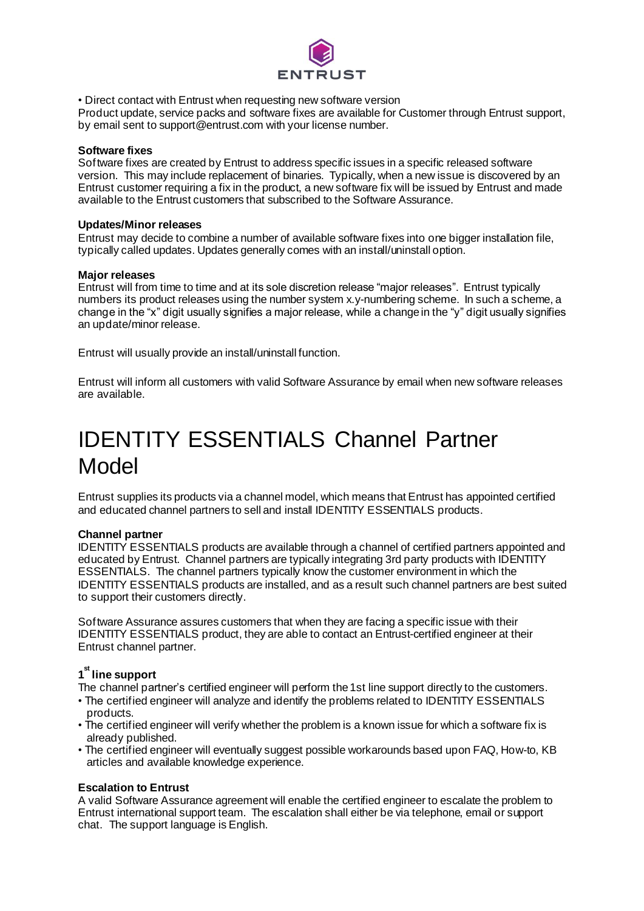

• Direct contact with Entrust when requesting new software version

Product update, service packs and software fixes are available for Customer through Entrust support, by email sent to support@entrust.com with your license number.

#### **Software fixes**

Software fixes are created by Entrust to address specific issues in a specific released software version. This may include replacement of binaries. Typically, when a new issue is discovered by an Entrust customer requiring a fix in the product, a new software fix will be issued by Entrust and made available to the Entrust customers that subscribed to the Software Assurance.

#### **Updates/Minor releases**

Entrust may decide to combine a number of available software fixes into one bigger installation file, typically called updates. Updates generally comes with an install/uninstall option.

#### **Major releases**

Entrust will from time to time and at its sole discretion release "major releases". Entrust typically numbers its product releases using the number system x.y-numbering scheme. In such a scheme, a change in the "x" digit usually signifies a major release, while a change in the "y" digit usually signifies an update/minor release.

Entrust will usually provide an install/uninstall function.

Entrust will inform all customers with valid Software Assurance by email when new software releases are available.

## IDENTITY ESSENTIALS Channel Partner Model

Entrust supplies its products via a channel model, which means that Entrust has appointed certified and educated channel partners to sell and install IDENTITY ESSENTIALS products.

#### **Channel partner**

IDENTITY ESSENTIALS products are available through a channel of certified partners appointed and educated by Entrust. Channel partners are typically integrating 3rd party products with IDENTITY ESSENTIALS. The channel partners typically know the customer environment in which the IDENTITY ESSENTIALS products are installed, and as a result such channel partners are best suited to support their customers directly.

Software Assurance assures customers that when they are facing a specific issue with their IDENTITY ESSENTIALS product, they are able to contact an Entrust-certified engineer at their Entrust channel partner.

### **1 st line support**

The channel partner's certified engineer will perform the 1st line support directly to the customers.

- The certified engineer will analyze and identify the problems related to IDENTITY ESSENTIALS products.
- The certified engineer will verify whether the problem is a known issue for which a software fix is already published.
- The certified engineer will eventually suggest possible workarounds based upon FAQ, How-to, KB articles and available knowledge experience.

#### **Escalation to Entrust**

A valid Software Assurance agreement will enable the certified engineer to escalate the problem to Entrust international support team. The escalation shall either be via telephone, email or support chat. The support language is English.